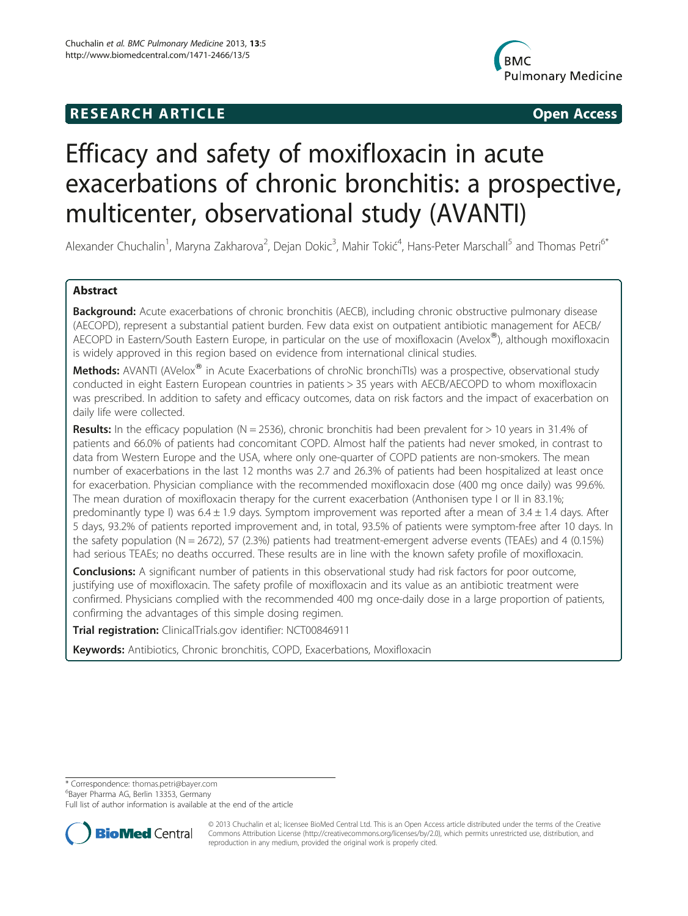# **RESEARCH ARTICLE Example 2014 12:30 The SEAR CHA RTICLE**



# Efficacy and safety of moxifloxacin in acute exacerbations of chronic bronchitis: a prospective, multicenter, observational study (AVANTI)

Alexander Chuchalin<sup>1</sup>, Maryna Zakharova<sup>2</sup>, Dejan Dokic<sup>3</sup>, Mahir Tokić<sup>4</sup>, Hans-Peter Marschall<sup>5</sup> and Thomas Petri<sup>6\*</sup>

# Abstract

Background: Acute exacerbations of chronic bronchitis (AECB), including chronic obstructive pulmonary disease (AECOPD), represent a substantial patient burden. Few data exist on outpatient antibiotic management for AECB/ AECOPD in Eastern/South Eastern Europe, in particular on the use of moxifloxacin (Avelox®), although moxifloxacin is widely approved in this region based on evidence from international clinical studies.

Methods: AVANTI (AVelox<sup>®</sup> in Acute Exacerbations of chroNic bronchiTIs) was a prospective, observational study conducted in eight Eastern European countries in patients > 35 years with AECB/AECOPD to whom moxifloxacin was prescribed. In addition to safety and efficacy outcomes, data on risk factors and the impact of exacerbation on daily life were collected.

**Results:** In the efficacy population (N = 2536), chronic bronchitis had been prevalent for > 10 years in 31.4% of patients and 66.0% of patients had concomitant COPD. Almost half the patients had never smoked, in contrast to data from Western Europe and the USA, where only one-quarter of COPD patients are non-smokers. The mean number of exacerbations in the last 12 months was 2.7 and 26.3% of patients had been hospitalized at least once for exacerbation. Physician compliance with the recommended moxifloxacin dose (400 mg once daily) was 99.6%. The mean duration of moxifloxacin therapy for the current exacerbation (Anthonisen type I or II in 83.1%; predominantly type I) was  $6.4 \pm 1.9$  days. Symptom improvement was reported after a mean of  $3.4 \pm 1.4$  days. After 5 days, 93.2% of patients reported improvement and, in total, 93.5% of patients were symptom-free after 10 days. In the safety population (N = 2672), 57 (2.3%) patients had treatment-emergent adverse events (TEAEs) and 4 (0.15%) had serious TEAEs; no deaths occurred. These results are in line with the known safety profile of moxifloxacin.

**Conclusions:** A significant number of patients in this observational study had risk factors for poor outcome, justifying use of moxifloxacin. The safety profile of moxifloxacin and its value as an antibiotic treatment were confirmed. Physicians complied with the recommended 400 mg once-daily dose in a large proportion of patients, confirming the advantages of this simple dosing regimen.

Trial registration: ClinicalTrials.gov identifier: NCT00846911

Keywords: Antibiotics, Chronic bronchitis, COPD, Exacerbations, Moxifloxacin

\* Correspondence: [thomas.petri@bayer.com](mailto:thomas.petri@bayer.com) <sup>6</sup>

<sup>6</sup>Bayer Pharma AG, Berlin 13353, Germany

Full list of author information is available at the end of the article



© 2013 Chuchalin et al.; licensee BioMed Central Ltd. This is an Open Access article distributed under the terms of the Creative Commons Attribution License [\(http://creativecommons.org/licenses/by/2.0\)](http://creativecommons.org/licenses/by/2.0), which permits unrestricted use, distribution, and reproduction in any medium, provided the original work is properly cited.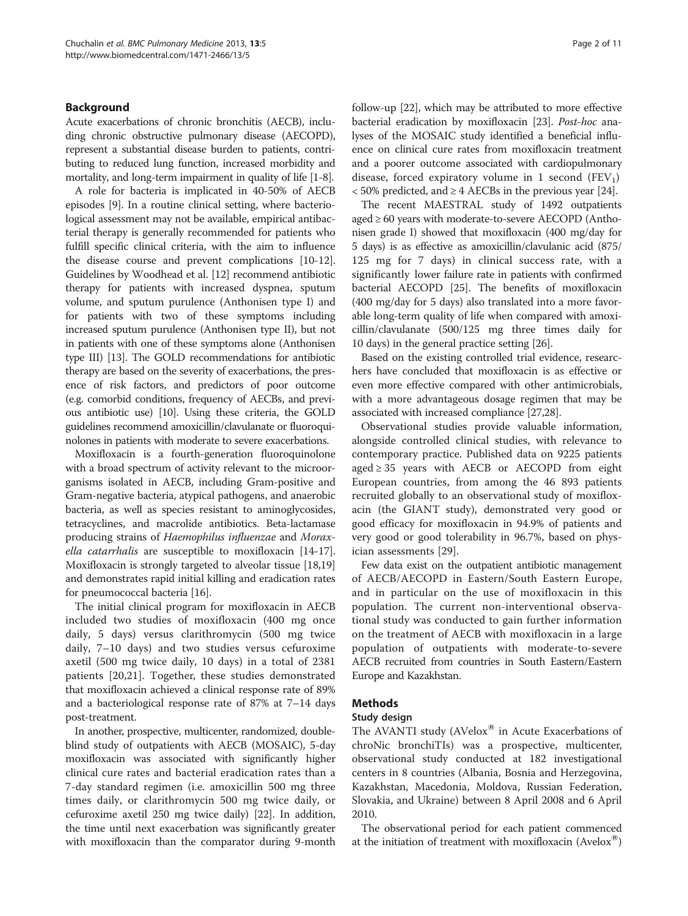# Background

Acute exacerbations of chronic bronchitis (AECB), including chronic obstructive pulmonary disease (AECOPD), represent a substantial disease burden to patients, contributing to reduced lung function, increased morbidity and mortality, and long-term impairment in quality of life [\[1-8](#page-9-0)].

A role for bacteria is implicated in 40-50% of AECB episodes [\[9\]](#page-9-0). In a routine clinical setting, where bacteriological assessment may not be available, empirical antibacterial therapy is generally recommended for patients who fulfill specific clinical criteria, with the aim to influence the disease course and prevent complications [[10](#page-9-0)-[12](#page-9-0)]. Guidelines by Woodhead et al. [\[12\]](#page-9-0) recommend antibiotic therapy for patients with increased dyspnea, sputum volume, and sputum purulence (Anthonisen type I) and for patients with two of these symptoms including increased sputum purulence (Anthonisen type II), but not in patients with one of these symptoms alone (Anthonisen type III) [\[13](#page-9-0)]. The GOLD recommendations for antibiotic therapy are based on the severity of exacerbations, the presence of risk factors, and predictors of poor outcome (e.g. comorbid conditions, frequency of AECBs, and previous antibiotic use) [\[10\]](#page-9-0). Using these criteria, the GOLD guidelines recommend amoxicillin/clavulanate or fluoroquinolones in patients with moderate to severe exacerbations.

Moxifloxacin is a fourth-generation fluoroquinolone with a broad spectrum of activity relevant to the microorganisms isolated in AECB, including Gram-positive and Gram-negative bacteria, atypical pathogens, and anaerobic bacteria, as well as species resistant to aminoglycosides, tetracyclines, and macrolide antibiotics. Beta-lactamase producing strains of Haemophilus influenzae and Moraxella catarrhalis are susceptible to moxifloxacin [[14](#page-9-0)-[17](#page-9-0)]. Moxifloxacin is strongly targeted to alveolar tissue [\[18,19](#page-9-0)] and demonstrates rapid initial killing and eradication rates for pneumococcal bacteria [\[16\]](#page-9-0).

The initial clinical program for moxifloxacin in AECB included two studies of moxifloxacin (400 mg once daily, 5 days) versus clarithromycin (500 mg twice daily, 7–10 days) and two studies versus cefuroxime axetil (500 mg twice daily, 10 days) in a total of 2381 patients [\[20](#page-9-0),[21\]](#page-9-0). Together, these studies demonstrated that moxifloxacin achieved a clinical response rate of 89% and a bacteriological response rate of 87% at 7–14 days post-treatment.

In another, prospective, multicenter, randomized, doubleblind study of outpatients with AECB (MOSAIC), 5-day moxifloxacin was associated with significantly higher clinical cure rates and bacterial eradication rates than a 7-day standard regimen (i.e. amoxicillin 500 mg three times daily, or clarithromycin 500 mg twice daily, or cefuroxime axetil 250 mg twice daily) [\[22\]](#page-9-0). In addition, the time until next exacerbation was significantly greater with moxifloxacin than the comparator during 9-month

follow-up [\[22](#page-9-0)], which may be attributed to more effective bacterial eradication by moxifloxacin [\[23\]](#page-9-0). Post-hoc analyses of the MOSAIC study identified a beneficial influence on clinical cure rates from moxifloxacin treatment and a poorer outcome associated with cardiopulmonary disease, forced expiratory volume in 1 second  $(FEV_1)$  $<$  50% predicted, and  $\geq$  4 AECBs in the previous year [\[24\]](#page-9-0).

The recent MAESTRAL study of 1492 outpatients aged ≥ 60 years with moderate-to-severe AECOPD (Anthonisen grade I) showed that moxifloxacin (400 mg/day for 5 days) is as effective as amoxicillin/clavulanic acid (875/ 125 mg for 7 days) in clinical success rate, with a significantly lower failure rate in patients with confirmed bacterial AECOPD [[25](#page-9-0)]. The benefits of moxifloxacin (400 mg/day for 5 days) also translated into a more favorable long-term quality of life when compared with amoxicillin/clavulanate (500/125 mg three times daily for 10 days) in the general practice setting [[26](#page-9-0)].

Based on the existing controlled trial evidence, researchers have concluded that moxifloxacin is as effective or even more effective compared with other antimicrobials, with a more advantageous dosage regimen that may be associated with increased compliance [[27,28\]](#page-9-0).

Observational studies provide valuable information, alongside controlled clinical studies, with relevance to contemporary practice. Published data on 9225 patients aged ≥ 35 years with AECB or AECOPD from eight European countries, from among the 46 893 patients recruited globally to an observational study of moxifloxacin (the GIANT study), demonstrated very good or good efficacy for moxifloxacin in 94.9% of patients and very good or good tolerability in 96.7%, based on physician assessments [\[29](#page-9-0)].

Few data exist on the outpatient antibiotic management of AECB/AECOPD in Eastern/South Eastern Europe, and in particular on the use of moxifloxacin in this population. The current non-interventional observational study was conducted to gain further information on the treatment of AECB with moxifloxacin in a large population of outpatients with moderate-to-severe AECB recruited from countries in South Eastern/Eastern Europe and Kazakhstan.

# Methods

# Study design

The AVANTI study (AVelox $^{\circledR}$  in Acute Exacerbations of chroNic bronchiTIs) was a prospective, multicenter, observational study conducted at 182 investigational centers in 8 countries (Albania, Bosnia and Herzegovina, Kazakhstan, Macedonia, Moldova, Russian Federation, Slovakia, and Ukraine) between 8 April 2008 and 6 April 2010.

The observational period for each patient commenced at the initiation of treatment with moxifloxacin (Avelox®)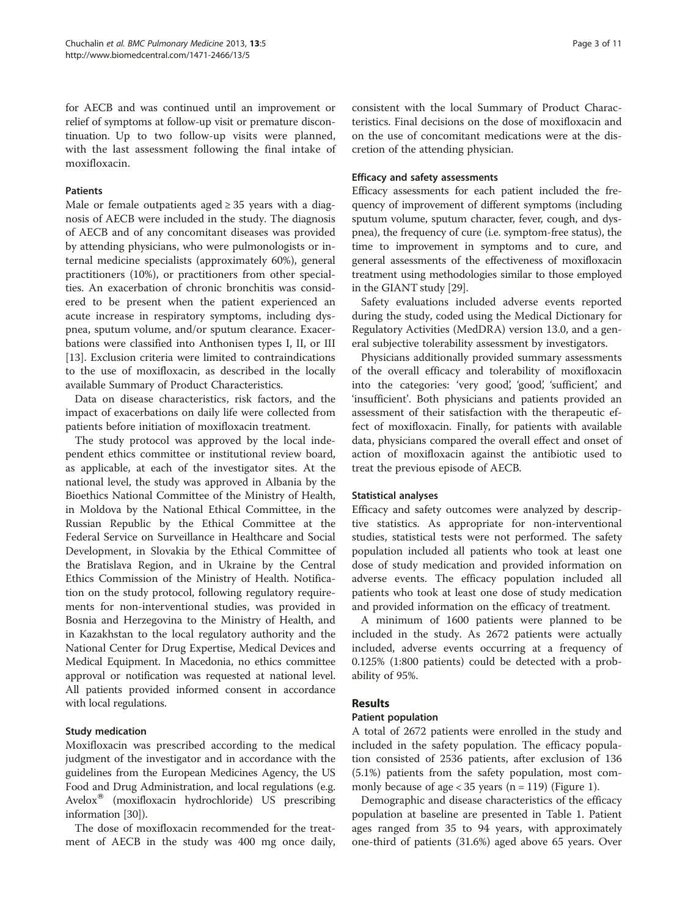for AECB and was continued until an improvement or relief of symptoms at follow-up visit or premature discontinuation. Up to two follow-up visits were planned, with the last assessment following the final intake of moxifloxacin.

# **Patients**

Male or female outpatients aged  $\geq$  35 years with a diagnosis of AECB were included in the study. The diagnosis of AECB and of any concomitant diseases was provided by attending physicians, who were pulmonologists or internal medicine specialists (approximately 60%), general practitioners (10%), or practitioners from other specialties. An exacerbation of chronic bronchitis was considered to be present when the patient experienced an acute increase in respiratory symptoms, including dyspnea, sputum volume, and/or sputum clearance. Exacerbations were classified into Anthonisen types I, II, or III [[13\]](#page-9-0). Exclusion criteria were limited to contraindications to the use of moxifloxacin, as described in the locally available Summary of Product Characteristics.

Data on disease characteristics, risk factors, and the impact of exacerbations on daily life were collected from patients before initiation of moxifloxacin treatment.

The study protocol was approved by the local independent ethics committee or institutional review board, as applicable, at each of the investigator sites. At the national level, the study was approved in Albania by the Bioethics National Committee of the Ministry of Health, in Moldova by the National Ethical Committee, in the Russian Republic by the Ethical Committee at the Federal Service on Surveillance in Healthcare and Social Development, in Slovakia by the Ethical Committee of the Bratislava Region, and in Ukraine by the Central Ethics Commission of the Ministry of Health. Notification on the study protocol, following regulatory requirements for non-interventional studies, was provided in Bosnia and Herzegovina to the Ministry of Health, and in Kazakhstan to the local regulatory authority and the National Center for Drug Expertise, Medical Devices and Medical Equipment. In Macedonia, no ethics committee approval or notification was requested at national level. All patients provided informed consent in accordance with local regulations.

# Study medication

Moxifloxacin was prescribed according to the medical judgment of the investigator and in accordance with the guidelines from the European Medicines Agency, the US Food and Drug Administration, and local regulations (e.g.  $A$ velox<sup>®</sup> (moxifloxacin hydrochloride) US prescribing information [[30\]](#page-9-0)).

The dose of moxifloxacin recommended for the treatment of AECB in the study was 400 mg once daily, consistent with the local Summary of Product Characteristics. Final decisions on the dose of moxifloxacin and on the use of concomitant medications were at the discretion of the attending physician.

# Efficacy and safety assessments

Efficacy assessments for each patient included the frequency of improvement of different symptoms (including sputum volume, sputum character, fever, cough, and dyspnea), the frequency of cure (i.e. symptom-free status), the time to improvement in symptoms and to cure, and general assessments of the effectiveness of moxifloxacin treatment using methodologies similar to those employed in the GIANT study [[29](#page-9-0)].

Safety evaluations included adverse events reported during the study, coded using the Medical Dictionary for Regulatory Activities (MedDRA) version 13.0, and a general subjective tolerability assessment by investigators.

Physicians additionally provided summary assessments of the overall efficacy and tolerability of moxifloxacin into the categories: 'very good', 'good', 'sufficient', and 'insufficient'. Both physicians and patients provided an assessment of their satisfaction with the therapeutic effect of moxifloxacin. Finally, for patients with available data, physicians compared the overall effect and onset of action of moxifloxacin against the antibiotic used to treat the previous episode of AECB.

# Statistical analyses

Efficacy and safety outcomes were analyzed by descriptive statistics. As appropriate for non-interventional studies, statistical tests were not performed. The safety population included all patients who took at least one dose of study medication and provided information on adverse events. The efficacy population included all patients who took at least one dose of study medication and provided information on the efficacy of treatment.

A minimum of 1600 patients were planned to be included in the study. As 2672 patients were actually included, adverse events occurring at a frequency of 0.125% (1:800 patients) could be detected with a probability of 95%.

# Results

# Patient population

A total of 2672 patients were enrolled in the study and included in the safety population. The efficacy population consisted of 2536 patients, after exclusion of 136 (5.1%) patients from the safety population, most commonly because of age  $<$  35 years (n = 119) (Figure [1\)](#page-3-0).

Demographic and disease characteristics of the efficacy population at baseline are presented in Table [1.](#page-4-0) Patient ages ranged from 35 to 94 years, with approximately one-third of patients (31.6%) aged above 65 years. Over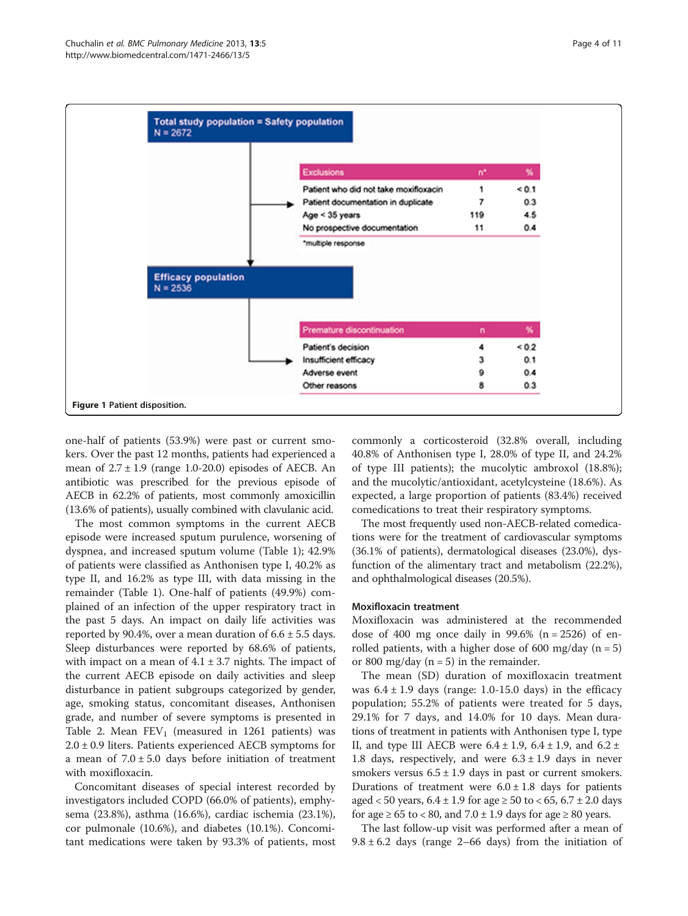<span id="page-3-0"></span>

one-half of patients (53.9%) were past or current smokers. Over the past 12 months, patients had experienced a mean of  $2.7 \pm 1.9$  (range 1.0-20.0) episodes of AECB. An antibiotic was prescribed for the previous episode of AECB in 62.2% of patients, most commonly amoxicillin (13.6% of patients), usually combined with clavulanic acid.

The most common symptoms in the current AECB episode were increased sputum purulence, worsening of dyspnea, and increased sputum volume (Table [1\)](#page-4-0); 42.9% of patients were classified as Anthonisen type I, 40.2% as type II, and 16.2% as type III, with data missing in the remainder (Table [1](#page-4-0)). One-half of patients (49.9%) complained of an infection of the upper respiratory tract in the past 5 days. An impact on daily life activities was reported by 90.4%, over a mean duration of  $6.6 \pm 5.5$  days. Sleep disturbances were reported by 68.6% of patients, with impact on a mean of  $4.1 \pm 3.7$  nights. The impact of the current AECB episode on daily activities and sleep disturbance in patient subgroups categorized by gender, age, smoking status, concomitant diseases, Anthonisen grade, and number of severe symptoms is presented in Table [2.](#page-5-0) Mean  $FEV_1$  (measured in 1261 patients) was 2.0 ± 0.9 liters. Patients experienced AECB symptoms for a mean of  $7.0 \pm 5.0$  days before initiation of treatment with moxifloxacin.

Concomitant diseases of special interest recorded by investigators included COPD (66.0% of patients), emphysema (23.8%), asthma (16.6%), cardiac ischemia (23.1%), cor pulmonale (10.6%), and diabetes (10.1%). Concomitant medications were taken by 93.3% of patients, most commonly a corticosteroid (32.8% overall, including 40.8% of Anthonisen type I, 28.0% of type II, and 24.2% of type III patients); the mucolytic ambroxol (18.8%); and the mucolytic/antioxidant, acetylcysteine (18.6%). As expected, a large proportion of patients (83.4%) received comedications to treat their respiratory symptoms.

The most frequently used non-AECB-related comedications were for the treatment of cardiovascular symptoms (36.1% of patients), dermatological diseases (23.0%), dysfunction of the alimentary tract and metabolism (22.2%), and ophthalmological diseases (20.5%).

#### Moxifloxacin treatment

Moxifloxacin was administered at the recommended dose of 400 mg once daily in 99.6% ( $n = 2526$ ) of enrolled patients, with a higher dose of 600 mg/day  $(n = 5)$ or 800 mg/day  $(n = 5)$  in the remainder.

The mean (SD) duration of moxifloxacin treatment was  $6.4 \pm 1.9$  days (range: 1.0-15.0 days) in the efficacy population; 55.2% of patients were treated for 5 days, 29.1% for 7 days, and 14.0% for 10 days. Mean durations of treatment in patients with Anthonisen type I, type II, and type III AECB were  $6.4 \pm 1.9$ ,  $6.4 \pm 1.9$ , and  $6.2 \pm$ 1.8 days, respectively, and were  $6.3 \pm 1.9$  days in never smokers versus  $6.5 \pm 1.9$  days in past or current smokers. Durations of treatment were  $6.0 \pm 1.8$  days for patients aged < 50 years,  $6.4 \pm 1.9$  for age ≥ 50 to < 65,  $6.7 \pm 2.0$  days for age  $\geq 65$  to < 80, and 7.0  $\pm$  1.9 days for age  $\geq 80$  years.

The last follow-up visit was performed after a mean of  $9.8 \pm 6.2$  days (range 2–66 days) from the initiation of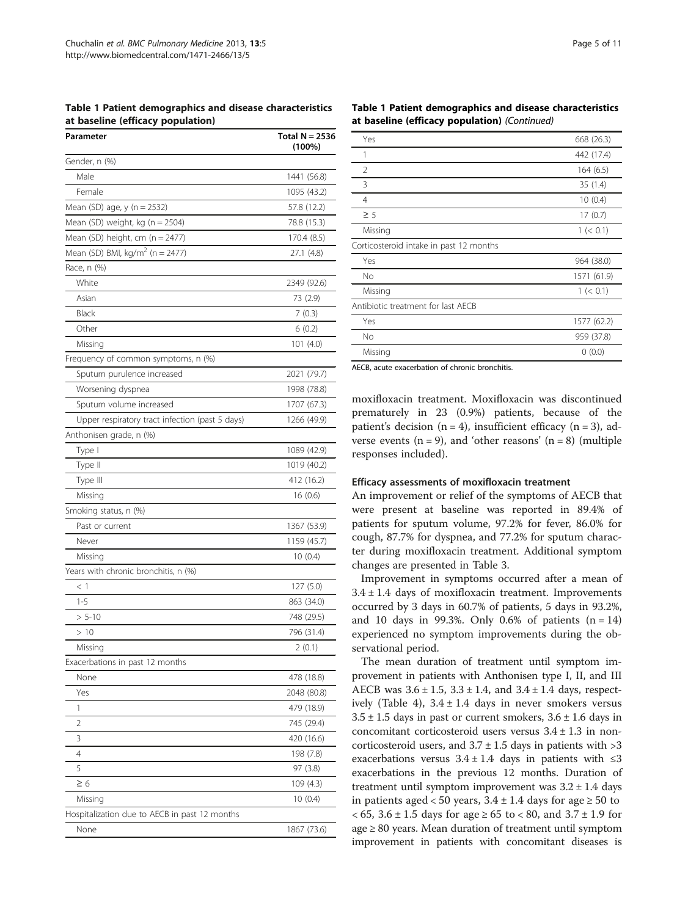<span id="page-4-0"></span>Table 1 Patient demographics and disease characteristics at baseline (efficacy population)

| Parameter                                       | Total $N = 2536$<br>$(100\%)$ |
|-------------------------------------------------|-------------------------------|
| Gender, n (%)                                   |                               |
| Male                                            | 1441 (56.8)                   |
| Female                                          | 1095 (43.2)                   |
| Mean (SD) age, y (n = 2532)                     | 57.8 (12.2)                   |
| Mean (SD) weight, kg ( $n = 2504$ )             | 78.8 (15.3)                   |
| Mean (SD) height, cm $(n = 2477)$               | 170.4 (8.5)                   |
| Mean (SD) BMI, kg/m <sup>2</sup> (n = 2477)     | 27.1(4.8)                     |
| Race, n (%)                                     |                               |
| White                                           | 2349 (92.6)                   |
| Asian                                           | 73 (2.9)                      |
| Black                                           | 7(0.3)                        |
| Other                                           | 6(0.2)                        |
| Missing                                         | 101 (4.0)                     |
| Frequency of common symptoms, n (%)             |                               |
| Sputum purulence increased                      | 2021 (79.7)                   |
| Worsening dyspnea                               | 1998 (78.8)                   |
| Sputum volume increased                         | 1707 (67.3)                   |
| Upper respiratory tract infection (past 5 days) | 1266 (49.9)                   |
| Anthonisen grade, n (%)                         |                               |
| Type I                                          | 1089 (42.9)                   |
| Type II                                         | 1019 (40.2)                   |
| Type III                                        | 412 (16.2)                    |
| Missing                                         | 16(0.6)                       |
| Smoking status, n (%)                           |                               |
| Past or current                                 | 1367 (53.9)                   |
| Never                                           | 1159 (45.7)                   |
| Missing                                         | 10(0.4)                       |
| Years with chronic bronchitis, n (%)            |                               |
| $<$ 1                                           | 127 (5.0)                     |
| $1 - 5$                                         | 863 (34.0)                    |
| $> 5 - 10$                                      | 748 (29.5)                    |
| >10                                             | 796 (31.4)                    |
| Missing                                         | 2(0.1)                        |
| Exacerbations in past 12 months                 |                               |
| None                                            | 478 (18.8)                    |
| Yes                                             | 2048 (80.8)                   |
| 1                                               | 479 (18.9)                    |
| $\overline{2}$                                  | 745 (29.4)                    |
| 3                                               | 420 (16.6)                    |
| 4                                               | 198 (7.8)                     |
| 5                                               | 97 (3.8)                      |
| $\geq 6$                                        | 109 (4.3)                     |
| Missing                                         | 10(0.4)                       |
| Hospitalization due to AECB in past 12 months   |                               |
| None                                            | 1867 (73.6)                   |

## Table 1 Patient demographics and disease characteristics at baseline (efficacy population) (Continued)

| Yes                                     | 668 (26.3)  |
|-----------------------------------------|-------------|
| 1                                       | 442 (17.4)  |
| $\mathfrak{D}$                          | 164 (6.5)   |
| 3                                       | 35(1.4)     |
| $\overline{4}$                          | 10(0.4)     |
| $\geq$ 5                                | 17(0.7)     |
| Missing                                 | 1 (< 0.1)   |
| Corticosteroid intake in past 12 months |             |
| Yes                                     | 964 (38.0)  |
| <b>No</b>                               | 1571 (61.9) |
| Missing                                 | 1 (< 0.1)   |
| Antibiotic treatment for last AECB      |             |
| Yes                                     | 1577 (62.2) |
| <b>No</b>                               | 959 (37.8)  |
| Missing                                 | 0(0.0)      |
|                                         |             |

AECB, acute exacerbation of chronic bronchitis.

moxifloxacin treatment. Moxifloxacin was discontinued prematurely in 23 (0.9%) patients, because of the patient's decision  $(n = 4)$ , insufficient efficacy  $(n = 3)$ , adverse events  $(n = 9)$ , and 'other reasons'  $(n = 8)$  (multiple responses included).

## Efficacy assessments of moxifloxacin treatment

An improvement or relief of the symptoms of AECB that were present at baseline was reported in 89.4% of patients for sputum volume, 97.2% for fever, 86.0% for cough, 87.7% for dyspnea, and 77.2% for sputum character during moxifloxacin treatment. Additional symptom changes are presented in Table [3.](#page-6-0)

Improvement in symptoms occurred after a mean of  $3.4 \pm 1.4$  days of moxifloxacin treatment. Improvements occurred by 3 days in 60.7% of patients, 5 days in 93.2%, and 10 days in 99.3%. Only 0.6% of patients  $(n = 14)$ experienced no symptom improvements during the observational period.

The mean duration of treatment until symptom improvement in patients with Anthonisen type I, II, and III AECB was  $3.6 \pm 1.5$ ,  $3.3 \pm 1.4$ , and  $3.4 \pm 1.4$  days, respect-ively (Table [4](#page-6-0)),  $3.4 \pm 1.4$  days in never smokers versus  $3.5 \pm 1.5$  days in past or current smokers,  $3.6 \pm 1.6$  days in concomitant corticosteroid users versus  $3.4 \pm 1.3$  in noncorticosteroid users, and  $3.7 \pm 1.5$  days in patients with  $>3$ exacerbations versus  $3.4 \pm 1.4$  days in patients with  $\leq 3$ exacerbations in the previous 12 months. Duration of treatment until symptom improvement was  $3.2 \pm 1.4$  days in patients aged < 50 years,  $3.4 \pm 1.4$  days for age  $\geq 50$  to < 65,  $3.6 \pm 1.5$  days for age ≥ 65 to < 80, and  $3.7 \pm 1.9$  for age ≥ 80 years. Mean duration of treatment until symptom improvement in patients with concomitant diseases is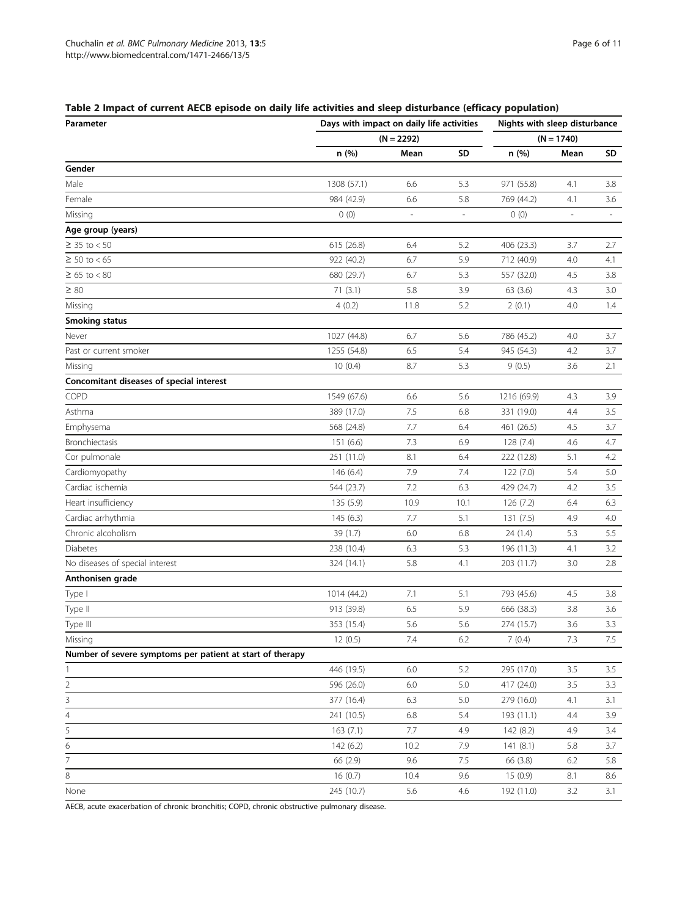# <span id="page-5-0"></span>Table 2 Impact of current AECB episode on daily life activities and sleep disturbance (efficacy population)

| Parameter                                                 | Days with impact on daily life activities |                          |      | Nights with sleep disturbance |               |     |
|-----------------------------------------------------------|-------------------------------------------|--------------------------|------|-------------------------------|---------------|-----|
|                                                           | $(N = 2292)$                              |                          |      | $(N = 1740)$                  |               |     |
|                                                           | n (%)                                     | Mean                     | SD   | n (%)                         | Mean          | SD  |
| Gender                                                    |                                           |                          |      |                               |               |     |
| Male                                                      | 1308 (57.1)                               | 6.6                      | 5.3  | 971 (55.8)                    | 4.1           | 3.8 |
| Female                                                    | 984 (42.9)                                | 6.6                      | 5.8  | 769 (44.2)                    | 4.1           | 3.6 |
| Missing                                                   | 0(0)                                      | $\overline{\phantom{a}}$ |      | 0(0)                          | $\frac{1}{2}$ |     |
| Age group (years)                                         |                                           |                          |      |                               |               |     |
| $≥ 35$ to < 50                                            | 615 (26.8)                                | 6.4                      | 5.2  | 406 (23.3)                    | 3.7           | 2.7 |
| $\geq 50$ to $< 65$                                       | 922 (40.2)                                | 6.7                      | 5.9  | 712 (40.9)                    | 4.0           | 4.1 |
| $\geq 65$ to $< 80$                                       | 680 (29.7)                                | 6.7                      | 5.3  | 557 (32.0)                    | 4.5           | 3.8 |
| $\geq 80$                                                 | 71(3.1)                                   | 5.8                      | 3.9  | 63(3.6)                       | 4.3           | 3.0 |
| Missing                                                   | 4(0.2)                                    | 11.8                     | 5.2  | 2(0.1)                        | 4.0           | 1.4 |
| <b>Smoking status</b>                                     |                                           |                          |      |                               |               |     |
| Never                                                     | 1027 (44.8)                               | 6.7                      | 5.6  | 786 (45.2)                    | 4.0           | 3.7 |
| Past or current smoker                                    | 1255 (54.8)                               | 6.5                      | 5.4  | 945 (54.3)                    | 4.2           | 3.7 |
| Missing                                                   | 10(0.4)                                   | 8.7                      | 5.3  | 9(0.5)                        | 3.6           | 2.1 |
| Concomitant diseases of special interest                  |                                           |                          |      |                               |               |     |
| COPD                                                      | 1549 (67.6)                               | 6.6                      | 5.6  | 1216 (69.9)                   | 4.3           | 3.9 |
| Asthma                                                    | 389 (17.0)                                | 7.5                      | 6.8  | 331 (19.0)                    | 4.4           | 3.5 |
| Emphysema                                                 | 568 (24.8)                                | 7.7                      | 6.4  | 461 (26.5)                    | 4.5           | 3.7 |
| <b>Bronchiectasis</b>                                     | 151 (6.6)                                 | 7.3                      | 6.9  | 128 (7.4)                     | 4.6           | 4.7 |
| Cor pulmonale                                             | 251 (11.0)                                | 8.1                      | 6.4  | 222 (12.8)                    | 5.1           | 4.2 |
| Cardiomyopathy                                            | 146(6.4)                                  | 7.9                      | 7.4  | 122 (7.0)                     | 5.4           | 5.0 |
| Cardiac ischemia                                          | 544 (23.7)                                | 7.2                      | 6.3  | 429 (24.7)                    | 4.2           | 3.5 |
| Heart insufficiency                                       | 135 (5.9)                                 | 10.9                     | 10.1 | 126 (7.2)                     | 6.4           | 6.3 |
| Cardiac arrhythmia                                        | 145(6.3)                                  | 7.7                      | 5.1  | 131 (7.5)                     | 4.9           | 4.0 |
| Chronic alcoholism                                        | 39 (1.7)                                  | 6.0                      | 6.8  | 24(1.4)                       | 5.3           | 5.5 |
| Diabetes                                                  | 238 (10.4)                                | 6.3                      | 5.3  | 196 (11.3)                    | 4.1           | 3.2 |
| No diseases of special interest                           | 324 (14.1)                                | 5.8                      | 4.1  | 203 (11.7)                    | 3.0           | 2.8 |
| Anthonisen grade                                          |                                           |                          |      |                               |               |     |
| Type I                                                    | 1014 (44.2)                               | 7.1                      | 5.1  | 793 (45.6)                    | 4.5           | 3.8 |
| Type II                                                   | 913 (39.8)                                | 6.5                      | 5.9  | 666 (38.3)                    | 3.8           | 3.6 |
| Type III                                                  | 353 (15.4)                                | 5.6                      | 5.6  | 274 (15.7)                    | 3.6           | 3.3 |
| Missing                                                   | 12(0.5)                                   | 7.4                      | 6.2  | 7(0.4)                        | 7.3           | 7.5 |
| Number of severe symptoms per patient at start of therapy |                                           |                          |      |                               |               |     |
| 1                                                         | 446 (19.5)                                | 6.0                      | 5.2  | 295 (17.0)                    | 3.5           | 3.5 |
| $\overline{c}$                                            | 596 (26.0)                                | 6.0                      | 5.0  | 417 (24.0)                    | 3.5           | 3.3 |
| 3                                                         | 377 (16.4)                                | 6.3                      | 5.0  | 279 (16.0)                    | 4.1           | 3.1 |
| $\overline{4}$                                            | 241 (10.5)                                | 6.8                      | 5.4  | 193 (11.1)                    | 4.4           | 3.9 |
| 5                                                         | 163(7.1)                                  | 7.7                      | 4.9  | 142 (8.2)                     | 4.9           | 3.4 |
| 6                                                         | 142(6.2)                                  | 10.2                     | 7.9  | 141(8.1)                      | 5.8           | 3.7 |
| 7                                                         | 66 (2.9)                                  | 9.6                      | 7.5  | 66 (3.8)                      | 6.2           | 5.8 |
| 8                                                         | 16(0.7)                                   | 10.4                     | 9.6  | 15(0.9)                       | 8.1           | 8.6 |
| None                                                      | 245 (10.7)                                | 5.6                      | 4.6  | 192 (11.0)                    | 3.2           | 3.1 |

AECB, acute exacerbation of chronic bronchitis; COPD, chronic obstructive pulmonary disease.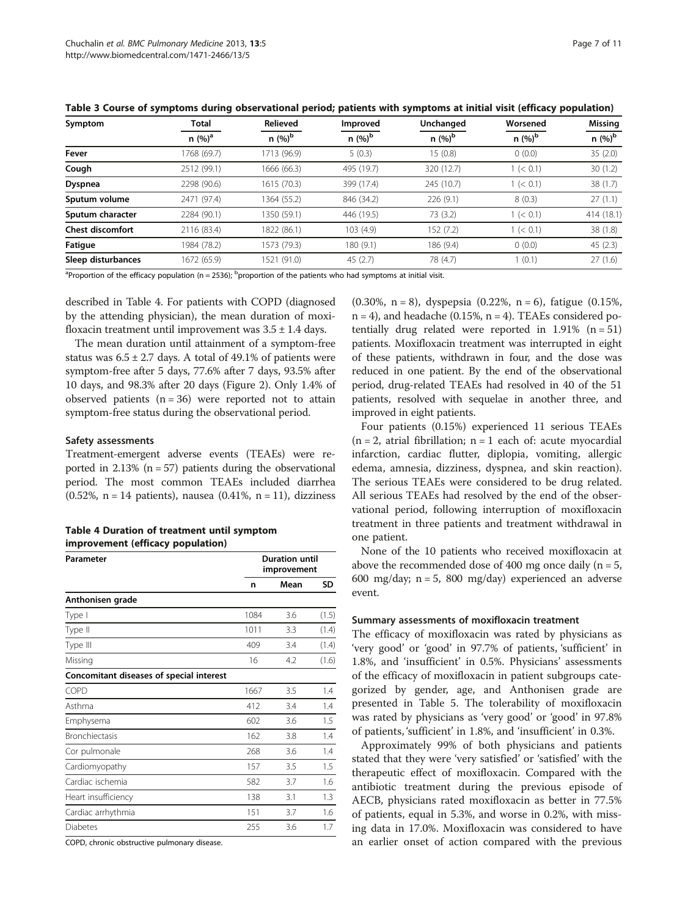| Symptom                 | Total              | <b>Relieved</b> | Improved   | Unchanged  | Worsened  | Missing    |
|-------------------------|--------------------|-----------------|------------|------------|-----------|------------|
|                         | n (%) <sup>a</sup> | $n (%)^b$       | $n (%)^b$  | $n (%)^b$  | $n (%)^b$ | $n (%)^b$  |
| Fever                   | 1768 (69.7)        | 1713 (96.9)     | 5(0.3)     | 15(0.8)    | 0(0.0)    | 35(2.0)    |
| Cough                   | 2512 (99.1)        | 1666 (66.3)     | 495 (19.7) | 320 (12.7) | 1 (< 0.1) | 30(1.2)    |
| <b>Dyspnea</b>          | 2298 (90.6)        | 1615 (70.3)     | 399 (17.4) | 245 (10.7) | 1 (< 0.1) | 38(1.7)    |
| Sputum volume           | 2471 (97.4)        | 1364 (55.2)     | 846 (34.2) | 226 (9.1)  | 8(0.3)    | 27(1.1)    |
| Sputum character        | 2284 (90.1)        | 1350 (59.1)     | 446 (19.5) | 73 (3.2)   | 1 (< 0.1) | 414 (18.1) |
| <b>Chest discomfort</b> | 2116 (83.4)        | 1822 (86.1)     | 103 (4.9)  | 152 (7.2)  | 1 (< 0.1) | 38 (1.8)   |
| Fatigue                 | 1984 (78.2)        | 1573 (79.3)     | 180(9.1)   | 186 (9.4)  | 0(0.0)    | 45(2.3)    |
| Sleep disturbances      | 1672 (65.9)        | 1521 (91.0)     | 45(2.7)    | 78 (4.7)   | 1(0.1)    | 27(1.6)    |

<span id="page-6-0"></span>Table 3 Course of symptoms during observational period; patients with symptoms at initial visit (efficacy population)

<sup>a</sup>Proportion of the efficacy population (n = 2536); <sup>b</sup>proportion of the patients who had symptoms at initial visit.

described in Table 4. For patients with COPD (diagnosed by the attending physician), the mean duration of moxifloxacin treatment until improvement was  $3.5 \pm 1.4$  days.

The mean duration until attainment of a symptom-free status was  $6.5 \pm 2.7$  days. A total of 49.1% of patients were symptom-free after 5 days, 77.6% after 7 days, 93.5% after 10 days, and 98.3% after 20 days (Figure [2](#page-7-0)). Only 1.4% of observed patients  $(n = 36)$  were reported not to attain symptom-free status during the observational period.

#### Safety assessments

Treatment-emergent adverse events (TEAEs) were reported in 2.13% ( $n = 57$ ) patients during the observational period. The most common TEAEs included diarrhea (0.52%, n = 14 patients), nausea (0.41%, n = 11), dizziness

| Table 4 Duration of treatment until symptom |  |
|---------------------------------------------|--|
| improvement (efficacy population)           |  |

| Parameter                                | <b>Duration until</b><br>improvement |      |       |  |
|------------------------------------------|--------------------------------------|------|-------|--|
|                                          | n                                    | Mean | SD    |  |
| Anthonisen grade                         |                                      |      |       |  |
| Type I                                   | 1084                                 | 3.6  | (1.5) |  |
| Type II                                  | 1011                                 | 3.3  | (1.4) |  |
| Type III                                 | 409                                  | 3.4  | (1.4) |  |
| Missing                                  | 16                                   | 4.2  | (1.6) |  |
| Concomitant diseases of special interest |                                      |      |       |  |
| <b>COPD</b>                              | 1667                                 | 3.5  | 1.4   |  |
| Asthma                                   | 412                                  | 3.4  | 1.4   |  |
| Emphysema                                | 602                                  | 3.6  | 1.5   |  |
| <b>Bronchiectasis</b>                    | 162                                  | 3.8  | 1.4   |  |
| Cor pulmonale                            | 268                                  | 3.6  | 1.4   |  |
| Cardiomyopathy                           | 157                                  | 3.5  | 1.5   |  |
| Cardiac ischemia                         | 582                                  | 3.7  | 1.6   |  |
| Heart insufficiency                      | 138                                  | 3.1  | 1.3   |  |
| Cardiac arrhythmia                       | 151                                  | 3.7  | 1.6   |  |
| <b>Diabetes</b>                          | 255                                  | 3.6  | 1.7   |  |

COPD, chronic obstructive pulmonary disease.

(0.30%, n = 8), dyspepsia (0.22%, n = 6), fatigue (0.15%,  $n = 4$ ), and headache (0.15%,  $n = 4$ ). TEAEs considered potentially drug related were reported in  $1.91\%$  (n = 51) patients. Moxifloxacin treatment was interrupted in eight of these patients, withdrawn in four, and the dose was reduced in one patient. By the end of the observational period, drug-related TEAEs had resolved in 40 of the 51 patients, resolved with sequelae in another three, and improved in eight patients.

Four patients (0.15%) experienced 11 serious TEAEs  $(n = 2,$  atrial fibrillation;  $n = 1$  each of: acute myocardial infarction, cardiac flutter, diplopia, vomiting, allergic edema, amnesia, dizziness, dyspnea, and skin reaction). The serious TEAEs were considered to be drug related. All serious TEAEs had resolved by the end of the observational period, following interruption of moxifloxacin treatment in three patients and treatment withdrawal in one patient.

None of the 10 patients who received moxifloxacin at above the recommended dose of 400 mg once daily  $(n = 5)$ , 600 mg/day;  $n = 5$ , 800 mg/day) experienced an adverse event.

#### Summary assessments of moxifloxacin treatment

The efficacy of moxifloxacin was rated by physicians as 'very good' or 'good' in 97.7% of patients, 'sufficient' in 1.8%, and 'insufficient' in 0.5%. Physicians' assessments of the efficacy of moxifloxacin in patient subgroups categorized by gender, age, and Anthonisen grade are presented in Table [5](#page-7-0). The tolerability of moxifloxacin was rated by physicians as 'very good' or 'good' in 97.8% of patients, 'sufficient' in 1.8%, and 'insufficient' in 0.3%.

Approximately 99% of both physicians and patients stated that they were 'very satisfied' or 'satisfied' with the therapeutic effect of moxifloxacin. Compared with the antibiotic treatment during the previous episode of AECB, physicians rated moxifloxacin as better in 77.5% of patients, equal in 5.3%, and worse in 0.2%, with missing data in 17.0%. Moxifloxacin was considered to have an earlier onset of action compared with the previous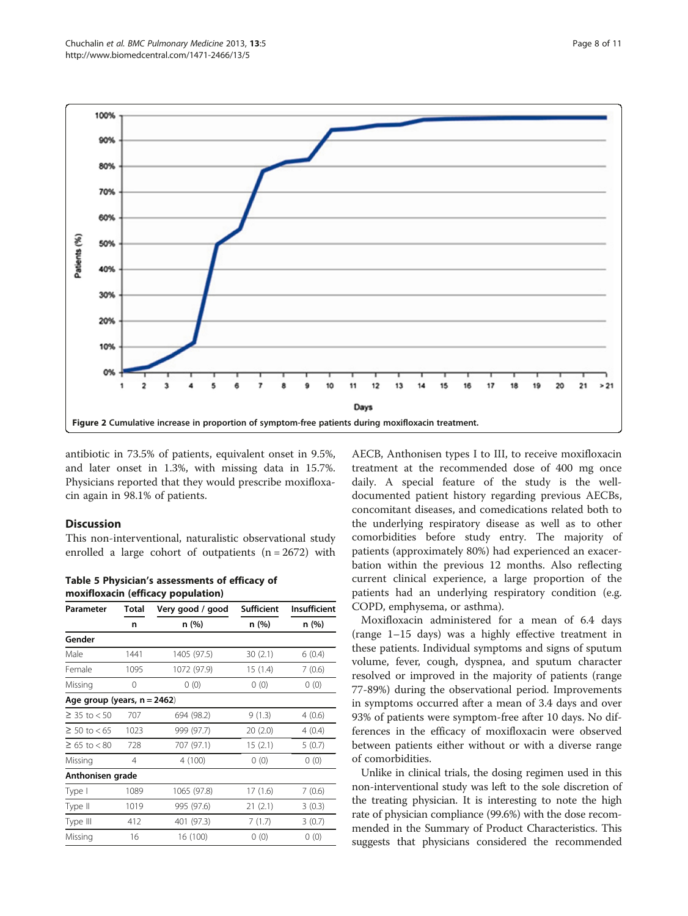<span id="page-7-0"></span>

antibiotic in 73.5% of patients, equivalent onset in 9.5%, and later onset in 1.3%, with missing data in 15.7%. Physicians reported that they would prescribe moxifloxacin again in 98.1% of patients.

# **Discussion**

This non-interventional, naturalistic observational study enrolled a large cohort of outpatients  $(n = 2672)$  with

# Table 5 Physician's assessments of efficacy of moxifloxacin (efficacy population)

| Parameter                      | <b>Total</b> | Very good / good | <b>Sufficient</b> | Insufficient |  |
|--------------------------------|--------------|------------------|-------------------|--------------|--|
| n                              |              | n (%)            | n (%)             | n (%)        |  |
| Gender                         |              |                  |                   |              |  |
| Male                           | 1441         | 1405 (97.5)      | 30(2.1)           | 6 (0.4)      |  |
| Female                         | 1095         | 1072 (97.9)      | 15(1.4)           | 7(0.6)       |  |
| Missing                        | 0            | 0(0)             | 0(0)              | 0(0)         |  |
| Age group (years, $n = 2462$ ) |              |                  |                   |              |  |
| $≥ 35$ to < 50                 | 707          | 694 (98.2)       | 9(1.3)            | 4(0.6)       |  |
| $≥ 50$ to < 65                 | 1023         | 999 (97.7)       | 20(2.0)           | 4(0.4)       |  |
| $≥ 65$ to < 80                 | 728          | 707 (97.1)       | 15(2.1)           | 5(0.7)       |  |
| Missing                        | 4            | 4 (100)          | 0(0)              | 0(0)         |  |
| Anthonisen grade               |              |                  |                   |              |  |
| Type I                         | 1089         | 1065 (97.8)      | 17(1.6)           | 7(0.6)       |  |
| Type II                        | 1019         | 995 (97.6)       | 21(2.1)           | 3(0.3)       |  |
| Type III                       | 412          | 401 (97.3)       | 7(1.7)            | 3(0.7)       |  |
| Missing                        | 16           | 16 (100)         | 0(0)              | 0(0)         |  |

AECB, Anthonisen types I to III, to receive moxifloxacin treatment at the recommended dose of 400 mg once daily. A special feature of the study is the welldocumented patient history regarding previous AECBs, concomitant diseases, and comedications related both to the underlying respiratory disease as well as to other comorbidities before study entry. The majority of patients (approximately 80%) had experienced an exacerbation within the previous 12 months. Also reflecting current clinical experience, a large proportion of the patients had an underlying respiratory condition (e.g. COPD, emphysema, or asthma).

Moxifloxacin administered for a mean of 6.4 days (range 1–15 days) was a highly effective treatment in these patients. Individual symptoms and signs of sputum volume, fever, cough, dyspnea, and sputum character resolved or improved in the majority of patients (range 77-89%) during the observational period. Improvements in symptoms occurred after a mean of 3.4 days and over 93% of patients were symptom-free after 10 days. No differences in the efficacy of moxifloxacin were observed between patients either without or with a diverse range of comorbidities.

Unlike in clinical trials, the dosing regimen used in this non-interventional study was left to the sole discretion of the treating physician. It is interesting to note the high rate of physician compliance (99.6%) with the dose recommended in the Summary of Product Characteristics. This suggests that physicians considered the recommended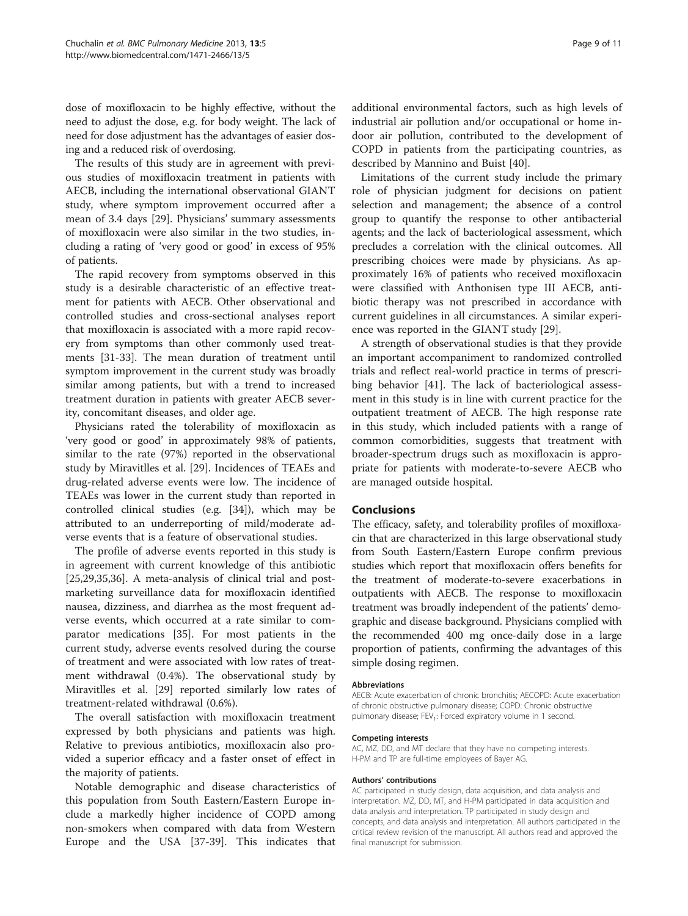dose of moxifloxacin to be highly effective, without the need to adjust the dose, e.g. for body weight. The lack of need for dose adjustment has the advantages of easier dosing and a reduced risk of overdosing.

The results of this study are in agreement with previous studies of moxifloxacin treatment in patients with AECB, including the international observational GIANT study, where symptom improvement occurred after a mean of 3.4 days [\[29](#page-9-0)]. Physicians' summary assessments of moxifloxacin were also similar in the two studies, including a rating of 'very good or good' in excess of 95% of patients.

The rapid recovery from symptoms observed in this study is a desirable characteristic of an effective treatment for patients with AECB. Other observational and controlled studies and cross-sectional analyses report that moxifloxacin is associated with a more rapid recovery from symptoms than other commonly used treatments [\[31-33](#page-9-0)]. The mean duration of treatment until symptom improvement in the current study was broadly similar among patients, but with a trend to increased treatment duration in patients with greater AECB severity, concomitant diseases, and older age.

Physicians rated the tolerability of moxifloxacin as 'very good or good' in approximately 98% of patients, similar to the rate (97%) reported in the observational study by Miravitlles et al. [\[29](#page-9-0)]. Incidences of TEAEs and drug-related adverse events were low. The incidence of TEAEs was lower in the current study than reported in controlled clinical studies (e.g. [\[34](#page-9-0)]), which may be attributed to an underreporting of mild/moderate adverse events that is a feature of observational studies.

The profile of adverse events reported in this study is in agreement with current knowledge of this antibiotic [[25,29,35,36\]](#page-9-0). A meta-analysis of clinical trial and postmarketing surveillance data for moxifloxacin identified nausea, dizziness, and diarrhea as the most frequent adverse events, which occurred at a rate similar to comparator medications [[35\]](#page-9-0). For most patients in the current study, adverse events resolved during the course of treatment and were associated with low rates of treatment withdrawal (0.4%). The observational study by Miravitlles et al. [\[29\]](#page-9-0) reported similarly low rates of treatment-related withdrawal (0.6%).

The overall satisfaction with moxifloxacin treatment expressed by both physicians and patients was high. Relative to previous antibiotics, moxifloxacin also provided a superior efficacy and a faster onset of effect in the majority of patients.

Notable demographic and disease characteristics of this population from South Eastern/Eastern Europe include a markedly higher incidence of COPD among non-smokers when compared with data from Western Europe and the USA [\[37](#page-9-0)[-39](#page-10-0)]. This indicates that

additional environmental factors, such as high levels of industrial air pollution and/or occupational or home indoor air pollution, contributed to the development of COPD in patients from the participating countries, as described by Mannino and Buist [[40\]](#page-10-0).

Limitations of the current study include the primary role of physician judgment for decisions on patient selection and management; the absence of a control group to quantify the response to other antibacterial agents; and the lack of bacteriological assessment, which precludes a correlation with the clinical outcomes. All prescribing choices were made by physicians. As approximately 16% of patients who received moxifloxacin were classified with Anthonisen type III AECB, antibiotic therapy was not prescribed in accordance with current guidelines in all circumstances. A similar experience was reported in the GIANT study [[29\]](#page-9-0).

A strength of observational studies is that they provide an important accompaniment to randomized controlled trials and reflect real-world practice in terms of prescribing behavior [[41\]](#page-10-0). The lack of bacteriological assessment in this study is in line with current practice for the outpatient treatment of AECB. The high response rate in this study, which included patients with a range of common comorbidities, suggests that treatment with broader-spectrum drugs such as moxifloxacin is appropriate for patients with moderate-to-severe AECB who are managed outside hospital.

# Conclusions

The efficacy, safety, and tolerability profiles of moxifloxacin that are characterized in this large observational study from South Eastern/Eastern Europe confirm previous studies which report that moxifloxacin offers benefits for the treatment of moderate-to-severe exacerbations in outpatients with AECB. The response to moxifloxacin treatment was broadly independent of the patients' demographic and disease background. Physicians complied with the recommended 400 mg once-daily dose in a large proportion of patients, confirming the advantages of this simple dosing regimen.

#### Abbreviations

AECB: Acute exacerbation of chronic bronchitis; AECOPD: Acute exacerbation of chronic obstructive pulmonary disease; COPD: Chronic obstructive pulmonary disease; FEV<sub>1</sub>: Forced expiratory volume in 1 second.

#### Competing interests

AC, MZ, DD, and MT declare that they have no competing interests. H-PM and TP are full-time employees of Bayer AG.

#### Authors' contributions

AC participated in study design, data acquisition, and data analysis and interpretation. MZ, DD, MT, and H-PM participated in data acquisition and data analysis and interpretation. TP participated in study design and concepts, and data analysis and interpretation. All authors participated in the critical review revision of the manuscript. All authors read and approved the final manuscript for submission.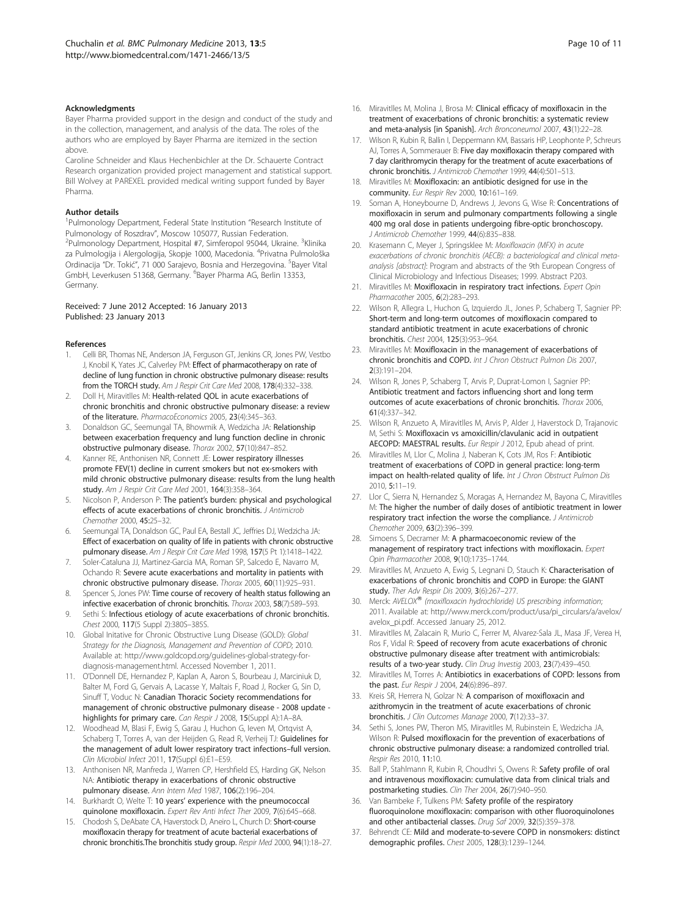#### <span id="page-9-0"></span>Acknowledgments

Bayer Pharma provided support in the design and conduct of the study and in the collection, management, and analysis of the data. The roles of the authors who are employed by Bayer Pharma are itemized in the section above.

Caroline Schneider and Klaus Hechenbichler at the Dr. Schauerte Contract Research organization provided project management and statistical support. Bill Wolvey at PAREXEL provided medical writing support funded by Bayer Pharma.

#### Author details

<sup>1</sup>Pulmonology Department, Federal State Institution "Research Institute of Pulmonology of Roszdrav", Moscow 105077, Russian Federation. Pulmonology Department, Hospital #7, Simferopol 95044, Ukraine. <sup>3</sup>Klinika za Pulmologija i Alergologija, Skopje 1000, Macedonia. <sup>4</sup>Privatna Pulmološka Ordinacija "Dr. Tokić", 71 000 Sarajevo, Bosnia and Herzegovina. <sup>5</sup>Bayer Vital GmbH, Leverkusen 51368, Germany. <sup>6</sup>Bayer Pharma AG, Berlin 13353, Germany.

#### Received: 7 June 2012 Accepted: 16 January 2013 Published: 23 January 2013

#### References

- 1. Celli BR, Thomas NE, Anderson JA, Ferguson GT, Jenkins CR, Jones PW, Vestbo J, Knobil K, Yates JC, Calverley PM: Effect of pharmacotherapy on rate of decline of lung function in chronic obstructive pulmonary disease: results from the TORCH study. Am J Respir Crit Care Med 2008, 178(4):332-338.
- Doll H, Miravitlles M: Health-related QOL in acute exacerbations of chronic bronchitis and chronic obstructive pulmonary disease: a review of the literature. PharmacoEconomics 2005, 23(4):345-363.
- Donaldson GC, Seemungal TA, Bhowmik A, Wedzicha JA: Relationship between exacerbation frequency and lung function decline in chronic obstructive pulmonary disease. Thorax 2002, 57(10):847–852.
- Kanner RE, Anthonisen NR, Connett JE: Lower respiratory illnesses promote FEV(1) decline in current smokers but not ex-smokers with mild chronic obstructive pulmonary disease: results from the lung health study. Am J Respir Crit Care Med 2001, 164(3):358-364.
- Nicolson P, Anderson P: The patient's burden: physical and psychological effects of acute exacerbations of chronic bronchitis. J Antimicrob Chemother 2000, 45:25–32.
- 6. Seemungal TA, Donaldson GC, Paul EA, Bestall JC, Jeffries DJ, Wedzicha JA: Effect of exacerbation on quality of life in patients with chronic obstructive pulmonary disease. Am J Respir Crit Care Med 1998, 157(5 Pt 1):1418-1422.
- 7. Soler-Cataluna JJ, Martinez-Garcia MA, Roman SP, Salcedo E, Navarro M, Ochando R: Severe acute exacerbations and mortality in patients with chronic obstructive pulmonary disease. Thorax 2005, 60(11):925–931.
- 8. Spencer S, Jones PW: Time course of recovery of health status following an infective exacerbation of chronic bronchitis. Thorax 2003, 58(7):589–593.
- Sethi S: Infectious etiology of acute exacerbations of chronic bronchitis. Chest 2000, 117(5 Suppl 2):380S–385S.
- 10. Global Initative for Chronic Obstructive Lung Disease (GOLD): Global Strategy for the Diagnosis, Management and Prevention of COPD; 2010. Available at: [http://www.goldcopd.org/guidelines-global-strategy-for](http://www.goldcopd.org/guidelines-global-strategy-for-diagnosis-management.html)[diagnosis-management.html](http://www.goldcopd.org/guidelines-global-strategy-for-diagnosis-management.html). Accessed November 1, 2011.
- 11. O'Donnell DE, Hernandez P, Kaplan A, Aaron S, Bourbeau J, Marciniuk D, Balter M, Ford G, Gervais A, Lacasse Y, Maltais F, Road J, Rocker G, Sin D, Sinuff T, Voduc N: Canadian Thoracic Society recommendations for management of chronic obstructive pulmonary disease - 2008 update highlights for primary care. Can Respir J 2008, 15(Suppl A):1A-8A.
- 12. Woodhead M, Blasi F, Ewig S, Garau J, Huchon G, Ieven M, Ortqvist A, Schaberg T, Torres A, van der Heijden G, Read R, Verheij TJ: Guidelines for the management of adult lower respiratory tract infections–full version. Clin Microbiol Infect 2011, 17(Suppl 6):E1–E59.
- 13. Anthonisen NR, Manfreda J, Warren CP, Hershfield ES, Harding GK, Nelson NA: Antibiotic therapy in exacerbations of chronic obstructive pulmonary disease. Ann Intern Med 1987, 106(2):196–204.
- 14. Burkhardt O, Welte T: 10 years' experience with the pneumococcal quinolone moxifloxacin. Expert Rev Anti Infect Ther 2009, 7(6):645–668.
- 15. Chodosh S, DeAbate CA, Haverstock D, Aneiro L, Church D: Short-course moxifloxacin therapy for treatment of acute bacterial exacerbations of chronic bronchitis.The bronchitis study group. Respir Med 2000, 94(1):18–27.
- 16. Miravitlles M, Molina J, Brosa M: Clinical efficacy of moxifloxacin in the treatment of exacerbations of chronic bronchitis: a systematic review and meta-analysis [in Spanish]. Arch Bronconeumol 2007, 43(1):22–28.
- 17. Wilson R, Kubin R, Ballin I, Deppermann KM, Bassaris HP, Leophonte P, Schreurs AJ, Torres A, Sommerauer B: Five day moxifloxacin therapy compared with 7 day clarithromycin therapy for the treatment of acute exacerbations of chronic bronchitis. J Antimicrob Chemother 1999, 44(4):501–513.
- 18. Miravitlles M: Moxifloxacin: an antibiotic designed for use in the community. Eur Respir Rev 2000, 10:161-169.
- 19. Soman A, Honeybourne D, Andrews J, Jevons G, Wise R: Concentrations of moxifloxacin in serum and pulmonary compartments following a single 400 mg oral dose in patients undergoing fibre-optic bronchoscopy. J Antimicrob Chemother 1999, 44(6):835–838.
- 20. Krasemann C, Meyer J, Springsklee M: Moxifloxacin (MFX) in acute exacerbations of chronic bronchitis (AECB): a bacteriological and clinical metaanalysis [abstract]: Program and abstracts of the 9th European Congress of Clinical Microbiology and Infectious Diseases; 1999. Abstract P203.
- 21. Miravitlles M: Moxifloxacin in respiratory tract infections. Expert Opin Pharmacother 2005, 6(2):283–293.
- 22. Wilson R, Allegra L, Huchon G, Izquierdo JL, Jones P, Schaberg T, Sagnier PP: Short-term and long-term outcomes of moxifloxacin compared to standard antibiotic treatment in acute exacerbations of chronic bronchitis. Chest 2004, 125(3):953–964.
- 23. Miravitlles M: Moxifloxacin in the management of exacerbations of chronic bronchitis and COPD. Int J Chron Obstruct Pulmon Dis 2007,  $2(3):191-204$
- 24. Wilson R, Jones P, Schaberg T, Arvis P, Duprat-Lomon I, Sagnier PP: Antibiotic treatment and factors influencing short and long term outcomes of acute exacerbations of chronic bronchitis. Thorax 2006, 61(4):337–342.
- 25. Wilson R, Anzueto A, Miravitlles M, Arvis P, Alder J, Haverstock D, Trajanovic M, Sethi S: Moxifloxacin vs amoxicillin/clavulanic acid in outpatient AECOPD: MAESTRAL results. Eur Respir J 2012, Epub ahead of print.
- 26. Miravitlles M, Llor C, Molina J, Naberan K, Cots JM, Ros F: Antibiotic treatment of exacerbations of COPD in general practice: long-term impact on health-related quality of life. Int J Chron Obstruct Pulmon Dis 2010, 5:11–19.
- 27. Llor C, Sierra N, Hernandez S, Moragas A, Hernandez M, Bayona C, Miravitlles M: The higher the number of daily doses of antibiotic treatment in lower respiratory tract infection the worse the compliance. J Antimicrob Chemother 2009, 63(2):396–399.
- 28. Simoens S, Decramer M: A pharmacoeconomic review of the management of respiratory tract infections with moxifloxacin. Expert Opin Pharmacother 2008, 9(10):1735–1744.
- 29. Miravitlles M, Anzueto A, Ewig S, Legnani D, Stauch K: Characterisation of exacerbations of chronic bronchitis and COPD in Europe: the GIANT study. Ther Adv Respir Dis 2009, 3(6):267–277.
- 30. Merck: AVELOX<sup>®</sup> (moxifloxacin hydrochloride) US prescribing information; 2011. Available at: [http://www.merck.com/product/usa/pi\\_circulars/a/avelox/](http://www.merck.com/product/usa/pi_circulars/a/avelox/avelox_pi.pdf) [avelox\\_pi.pdf.](http://www.merck.com/product/usa/pi_circulars/a/avelox/avelox_pi.pdf) Accessed January 25, 2012.
- 31. Miravitlles M, Zalacain R, Murio C, Ferrer M, Alvarez-Sala JL, Masa JF, Verea H, Ros F, Vidal R: Speed of recovery from acute exacerbations of chronic obstructive pulmonary disease after treatment with antimicrobials: results of a two-year study. Clin Drug Investig 2003, 23(7):439–450.
- 32. Miravitlles M, Torres A: Antibiotics in exacerbations of COPD: lessons from the past. Eur Respir J 2004, 24(6):896–897.
- Kreis SR, Herrera N, Golzar N: A comparison of moxifloxacin and azithromycin in the treatment of acute exacerbations of chronic bronchitis. J Clin Outcomes Manage 2000, 7(12):33–37.
- 34. Sethi S, Jones PW, Theron MS, Miravitlles M, Rubinstein E, Wedzicha JA, Wilson R: Pulsed moxifloxacin for the prevention of exacerbations of chronic obstructive pulmonary disease: a randomized controlled trial. Respir Res 2010, 11:10.
- 35. Ball P, Stahlmann R, Kubin R, Choudhri S, Owens R: Safety profile of oral and intravenous moxifloxacin: cumulative data from clinical trials and postmarketing studies. Clin Ther 2004, 26(7):940-950.
- 36. Van Bambeke F, Tulkens PM: Safety profile of the respiratory fluoroquinolone moxifloxacin: comparison with other fluoroquinolones and other antibacterial classes. Drug Saf 2009, 32(5):359–378.
- 37. Behrendt CE: Mild and moderate-to-severe COPD in nonsmokers: distinct demographic profiles. Chest 2005, 128(3):1239–1244.